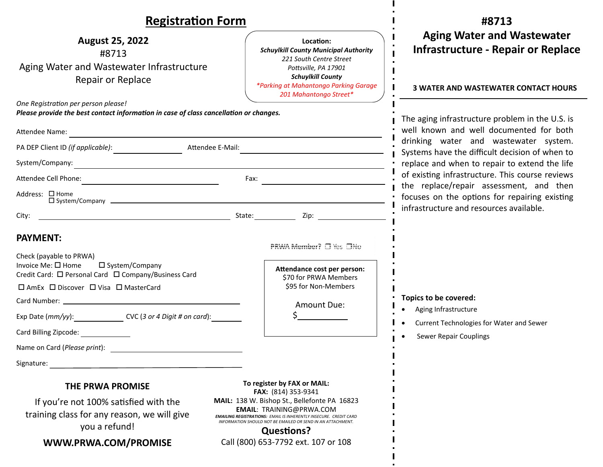### **Registration Form**

Location: *Schuylkill County Municipal Authority 221 South Centre Street PoƩsville, PA 17901 Schuylkill County \*Parking at Mahantongo Parking Garage 201 Mahantongo Street\** 

 $\blacksquare$  $\overline{\phantom{a}}$ j. П

| <b>August 25, 2022</b>                    |
|-------------------------------------------|
| #8713                                     |
| Aging Water and Wastewater Infrastructure |
| Repair or Replace                         |

*One RegistraƟon per person please!* 

*Please provide the best contact information in case of class cancellation or changes.* 

| Attendee Name:                                                                                        |                                                                                                                                                                                                                                          |                                                      |  |
|-------------------------------------------------------------------------------------------------------|------------------------------------------------------------------------------------------------------------------------------------------------------------------------------------------------------------------------------------------|------------------------------------------------------|--|
|                                                                                                       |                                                                                                                                                                                                                                          |                                                      |  |
| System/Company:<br><u> 1980 - Jan Alexandri, fizikar matematika (h. 1980).</u>                        |                                                                                                                                                                                                                                          |                                                      |  |
| Attendee Cell Phone:<br><u> 1989 - Andrea Station Barbara, amerikan per</u>                           |                                                                                                                                                                                                                                          |                                                      |  |
| Address: □ Home                                                                                       |                                                                                                                                                                                                                                          |                                                      |  |
| City:                                                                                                 |                                                                                                                                                                                                                                          | State: Zip: 2001                                     |  |
| <b>PAYMENT:</b><br>Check (payable to PRWA)                                                            |                                                                                                                                                                                                                                          | PRWA Member? □ Yes □No                               |  |
| Invoice Me: □ Home □ System/Company<br>Credit Card: □ Personal Card □ Company/Business Card           |                                                                                                                                                                                                                                          | Attendance cost per person:<br>\$70 for PRWA Members |  |
| □ AmEx □ Discover □ Visa □ MasterCard                                                                 |                                                                                                                                                                                                                                          | \$95 for Non-Members                                 |  |
|                                                                                                       |                                                                                                                                                                                                                                          | Amount Due:                                          |  |
| Exp Date (mm/yy): CVC (3 or 4 Digit # on card):                                                       |                                                                                                                                                                                                                                          | $\zeta$ and $\zeta$                                  |  |
| Card Billing Zipcode: _______________                                                                 |                                                                                                                                                                                                                                          |                                                      |  |
|                                                                                                       |                                                                                                                                                                                                                                          |                                                      |  |
|                                                                                                       |                                                                                                                                                                                                                                          |                                                      |  |
| <b>THE PRWA PROMISE</b>                                                                               |                                                                                                                                                                                                                                          | To register by FAX or MAIL:<br>FAX: (814) 353-9341   |  |
| If you're not 100% satisfied with the<br>training class for any reason, we will give<br>you a refund! | MAIL: 138 W. Bishop St., Bellefonte PA 16823<br><b>EMAIL: TRAINING@PRWA.COM</b><br><b>EMAILING REGISTRATIONS: EMAIL IS INHERENTLY INSECURE. CREDIT CARD</b><br>INFORMATION SHOULD NOT BE EMAILED OR SEND IN AN ATTACHMENT.<br>Questions? |                                                      |  |
| WWW.PRWA.COM/PROMISE                                                                                  | Call (800) 653-7792 ext. 107 or 108                                                                                                                                                                                                      |                                                      |  |

**#8713 Aging Water and Wastewater Infrastructure ‐ Repair or Replace** 

#### **3 WATER AND WASTEWATER CONTACT HOURS**

The aging infrastructure problem in the U.S. is well known and well documented for both drinking water and wastewater system. Systems have the difficult decision of when to replace and when to repair to extend the life of existing infrastructure. This course reviews the replace/repair assessment, and then focuses on the options for repairing existing infrastructure and resources available.

- **Topics to be covered:** 
	- $\bullet$ Aging Infrastructure
- $\bullet$ Current Technologies for Water and Sewer
- Sewer Repair Couplings